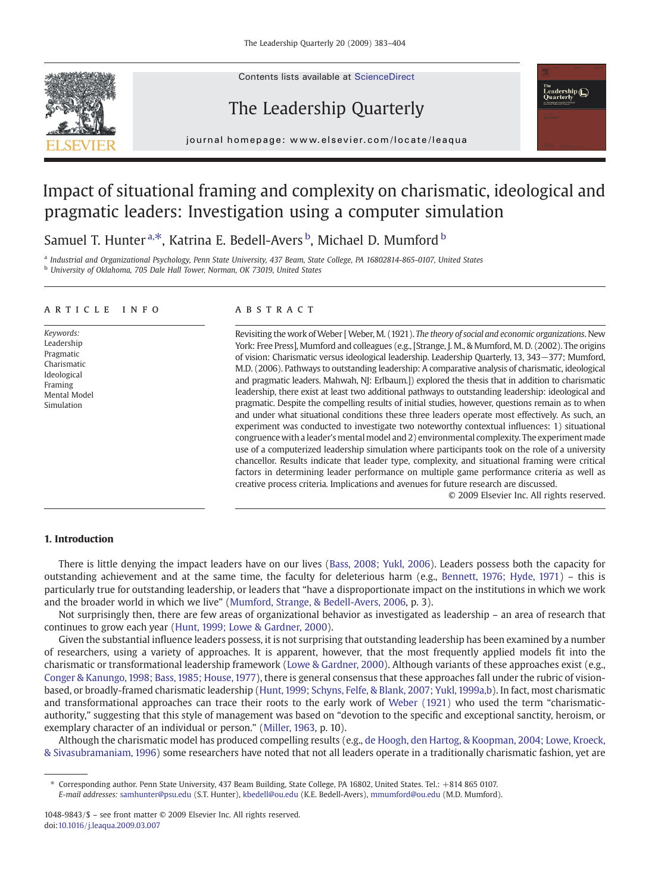

Contents lists available at ScienceDirect

## The Leadership Quarterly



j o u r n a l h om e p a g e r. c om e p a g e r. c om / l o c a t e a t e a t e l o c a t e l o c a t e a q u<br>L

## Impact of situational framing and complexity on charismatic, ideological and pragmatic leaders: Investigation using a computer simulation

Samuel T. Hunter<sup>a,\*</sup>, Katrina E. Bedell-Avers <sup>b</sup>, Michael D. Mumford <sup>b</sup>

<sup>a</sup> Industrial and Organizational Psychology, Penn State University, 437 Beam, State College, PA 16802814-865-0107, United States <sup>b</sup> University of Oklahoma, 705 Dale Hall Tower, Norman, OK 73019, United States

### article info abstract

Keywords: **Leadership** Pragmatic Charismatic Ideological Framing Mental Model Simulation

Revisiting the work of Weber [Weber, M. (1921). The theory of social and economic organizations. New York: Free Press], Mumford and colleagues (e.g., [Strange, J. M., & Mumford, M. D. (2002). The origins of vision: Charismatic versus ideological leadership. Leadership Quarterly, 13, 343−377; Mumford, M.D. (2006). Pathways to outstanding leadership: A comparative analysis of charismatic, ideological and pragmatic leaders. Mahwah, NJ: Erlbaum.]) explored the thesis that in addition to charismatic leadership, there exist at least two additional pathways to outstanding leadership: ideological and pragmatic. Despite the compelling results of initial studies, however, questions remain as to when and under what situational conditions these three leaders operate most effectively. As such, an experiment was conducted to investigate two noteworthy contextual influences: 1) situational congruencewith a leader's mental model and 2) environmental complexity. The experiment made use of a computerized leadership simulation where participants took on the role of a university chancellor. Results indicate that leader type, complexity, and situational framing were critical factors in determining leader performance on multiple game performance criteria as well as creative process criteria. Implications and avenues for future research are discussed.

© 2009 Elsevier Inc. All rights reserved.

### 1. Introduction

There is little denying the impact leaders have on our lives ([Bass, 2008; Yukl, 2006](#page--1-0)). Leaders possess both the capacity for outstanding achievement and at the same time, the faculty for deleterious harm (e.g., [Bennett, 1976; Hyde, 1971](#page--1-0)) – this is particularly true for outstanding leadership, or leaders that "have a disproportionate impact on the institutions in which we work and the broader world in which we live" [\(Mumford, Strange, & Bedell-Avers, 2006](#page--1-0), p. 3).

Not surprisingly then, there are few areas of organizational behavior as investigated as leadership – an area of research that continues to grow each year ([Hunt, 1999; Lowe & Gardner, 2000\)](#page--1-0).

Given the substantial influence leaders possess, it is not surprising that outstanding leadership has been examined by a number of researchers, using a variety of approaches. It is apparent, however, that the most frequently applied models fit into the charismatic or transformational leadership framework ([Lowe & Gardner, 2000\)](#page--1-0). Although variants of these approaches exist (e.g., [Conger & Kanungo, 1998; Bass, 1985; House, 1977\)](#page--1-0), there is general consensus that these approaches fall under the rubric of visionbased, or broadly-framed charismatic leadership ([Hunt, 1999; Schyns, Felfe, & Blank, 2007; Yukl, 1999a,b\)](#page--1-0). In fact, most charismatic and transformational approaches can trace their roots to the early work of [Weber \(1921\)](#page--1-0) who used the term "charismaticauthority," suggesting that this style of management was based on "devotion to the specific and exceptional sanctity, heroism, or exemplary character of an individual or person." ([Miller, 1963,](#page--1-0) p. 10).

Although the charismatic model has produced compelling results (e.g., [de Hoogh, den Hartog, & Koopman, 2004; Lowe, Kroeck,](#page--1-0) [& Sivasubramaniam, 1996\)](#page--1-0) some researchers have noted that not all leaders operate in a traditionally charismatic fashion, yet are

<sup>⁎</sup> Corresponding author. Penn State University, 437 Beam Building, State College, PA 16802, United States. Tel.: +814 865 0107. E-mail addresses: [samhunter@psu.edu](mailto:samhunter@psu.edu) (S.T. Hunter), [kbedell@ou.edu](mailto:kbedell@ou.edu) (K.E. Bedell-Avers), [mmumford@ou.edu](mailto:mmumford@ou.edu) (M.D. Mumford).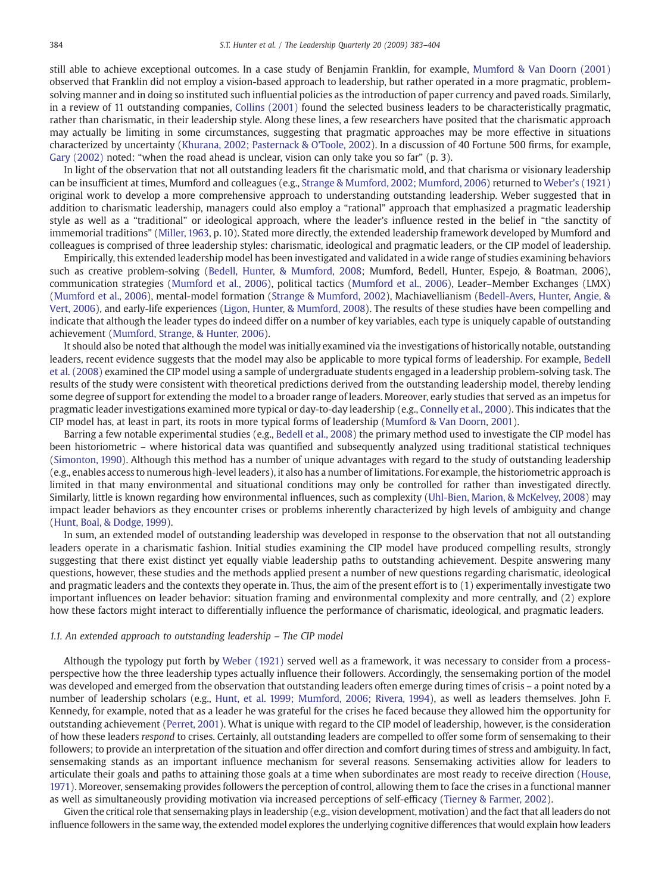still able to achieve exceptional outcomes. In a case study of Benjamin Franklin, for example, [Mumford & Van Doorn \(2001\)](#page--1-0) observed that Franklin did not employ a vision-based approach to leadership, but rather operated in a more pragmatic, problemsolving manner and in doing so instituted such influential policies as the introduction of paper currency and paved roads. Similarly, in a review of 11 outstanding companies, [Collins \(2001\)](#page--1-0) found the selected business leaders to be characteristically pragmatic, rather than charismatic, in their leadership style. Along these lines, a few researchers have posited that the charismatic approach may actually be limiting in some circumstances, suggesting that pragmatic approaches may be more effective in situations characterized by uncertainty [\(Khurana, 2002; Pasternack & O'Toole, 2002](#page--1-0)). In a discussion of 40 Fortune 500 firms, for example, [Gary \(2002\)](#page--1-0) noted: "when the road ahead is unclear, vision can only take you so far" (p. 3).

In light of the observation that not all outstanding leaders fit the charismatic mold, and that charisma or visionary leadership can be insufficient at times, Mumford and colleagues (e.g., [Strange & Mumford, 2002; Mumford, 2006](#page--1-0)) returned to [Weber's \(1921\)](#page--1-0) original work to develop a more comprehensive approach to understanding outstanding leadership. Weber suggested that in addition to charismatic leadership, managers could also employ a "rational" approach that emphasized a pragmatic leadership style as well as a "traditional" or ideological approach, where the leader's influence rested in the belief in "the sanctity of immemorial traditions" ([Miller, 1963,](#page--1-0) p. 10). Stated more directly, the extended leadership framework developed by Mumford and colleagues is comprised of three leadership styles: charismatic, ideological and pragmatic leaders, or the CIP model of leadership.

Empirically, this extended leadership model has been investigated and validated in a wide range of studies examining behaviors such as creative problem-solving [\(Bedell, Hunter, & Mumford, 2008;](#page--1-0) Mumford, Bedell, Hunter, Espejo, & Boatman, 2006), communication strategies ([Mumford et al., 2006](#page--1-0)), political tactics ([Mumford et al., 2006\)](#page--1-0), Leader–Member Exchanges (LMX) ([Mumford et al., 2006](#page--1-0)), mental-model formation ([Strange & Mumford, 2002\)](#page--1-0), Machiavellianism ([Bedell-Avers, Hunter, Angie, &](#page--1-0) [Vert, 2006](#page--1-0)), and early-life experiences [\(Ligon, Hunter, & Mumford, 2008\)](#page--1-0). The results of these studies have been compelling and indicate that although the leader types do indeed differ on a number of key variables, each type is uniquely capable of outstanding achievement ([Mumford, Strange, & Hunter, 2006](#page--1-0)).

It should also be noted that although the model was initially examined via the investigations of historically notable, outstanding leaders, recent evidence suggests that the model may also be applicable to more typical forms of leadership. For example, [Bedell](#page--1-0) [et al. \(2008\)](#page--1-0) examined the CIP model using a sample of undergraduate students engaged in a leadership problem-solving task. The results of the study were consistent with theoretical predictions derived from the outstanding leadership model, thereby lending some degree of support for extending the model to a broader range of leaders. Moreover, early studies that served as an impetus for pragmatic leader investigations examined more typical or day-to-day leadership (e.g., [Connelly et al., 2000\)](#page--1-0). This indicates that the CIP model has, at least in part, its roots in more typical forms of leadership [\(Mumford & Van Doorn, 2001](#page--1-0)).

Barring a few notable experimental studies (e.g., [Bedell et al., 2008](#page--1-0)) the primary method used to investigate the CIP model has been historiometric – where historical data was quantified and subsequently analyzed using traditional statistical techniques ([Simonton, 1990](#page--1-0)). Although this method has a number of unique advantages with regard to the study of outstanding leadership (e.g., enables access to numerous high-level leaders), it also has a number of limitations. For example, the historiometric approach is limited in that many environmental and situational conditions may only be controlled for rather than investigated directly. Similarly, little is known regarding how environmental influences, such as complexity [\(Uhl-Bien, Marion, & McKelvey, 2008](#page--1-0)) may impact leader behaviors as they encounter crises or problems inherently characterized by high levels of ambiguity and change ([Hunt, Boal, & Dodge, 1999\)](#page--1-0).

In sum, an extended model of outstanding leadership was developed in response to the observation that not all outstanding leaders operate in a charismatic fashion. Initial studies examining the CIP model have produced compelling results, strongly suggesting that there exist distinct yet equally viable leadership paths to outstanding achievement. Despite answering many questions, however, these studies and the methods applied present a number of new questions regarding charismatic, ideological and pragmatic leaders and the contexts they operate in. Thus, the aim of the present effort is to (1) experimentally investigate two important influences on leader behavior: situation framing and environmental complexity and more centrally, and (2) explore how these factors might interact to differentially influence the performance of charismatic, ideological, and pragmatic leaders.

### 1.1. An extended approach to outstanding leadership – The CIP model

Although the typology put forth by [Weber \(1921\)](#page--1-0) served well as a framework, it was necessary to consider from a processperspective how the three leadership types actually influence their followers. Accordingly, the sensemaking portion of the model was developed and emerged from the observation that outstanding leaders often emerge during times of crisis – a point noted by a number of leadership scholars (e.g., [Hunt, et al. 1999; Mumford, 2006; Rivera, 1994](#page--1-0)), as well as leaders themselves. John F. Kennedy, for example, noted that as a leader he was grateful for the crises he faced because they allowed him the opportunity for outstanding achievement ([Perret, 2001](#page--1-0)). What is unique with regard to the CIP model of leadership, however, is the consideration of how these leaders respond to crises. Certainly, all outstanding leaders are compelled to offer some form of sensemaking to their followers; to provide an interpretation of the situation and offer direction and comfort during times of stress and ambiguity. In fact, sensemaking stands as an important influence mechanism for several reasons. Sensemaking activities allow for leaders to articulate their goals and paths to attaining those goals at a time when subordinates are most ready to receive direction ([House,](#page--1-0) [1971\)](#page--1-0). Moreover, sensemaking provides followers the perception of control, allowing them to face the crises in a functional manner as well as simultaneously providing motivation via increased perceptions of self-efficacy [\(Tierney & Farmer, 2002\)](#page--1-0).

Given the critical role that sensemaking plays in leadership (e.g., vision development, motivation) and the fact that all leaders do not influence followers in the same way, the extended model explores the underlying cognitive differences that would explain how leaders